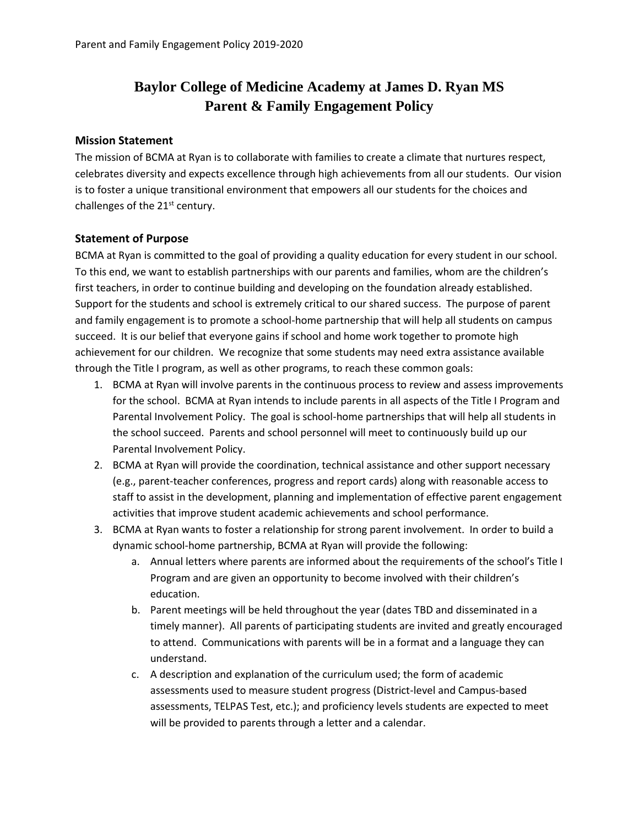## **Baylor College of Medicine Academy at James D. Ryan MS Parent & Family Engagement Policy**

## **Mission Statement**

The mission of BCMA at Ryan is to collaborate with families to create a climate that nurtures respect, celebrates diversity and expects excellence through high achievements from all our students. Our vision is to foster a unique transitional environment that empowers all our students for the choices and challenges of the 21<sup>st</sup> century.

## **Statement of Purpose**

BCMA at Ryan is committed to the goal of providing a quality education for every student in our school. To this end, we want to establish partnerships with our parents and families, whom are the children's first teachers, in order to continue building and developing on the foundation already established. Support for the students and school is extremely critical to our shared success. The purpose of parent and family engagement is to promote a school-home partnership that will help all students on campus succeed. It is our belief that everyone gains if school and home work together to promote high achievement for our children. We recognize that some students may need extra assistance available through the Title I program, as well as other programs, to reach these common goals:

- 1. BCMA at Ryan will involve parents in the continuous process to review and assess improvements for the school. BCMA at Ryan intends to include parents in all aspects of the Title I Program and Parental Involvement Policy. The goal is school-home partnerships that will help all students in the school succeed. Parents and school personnel will meet to continuously build up our Parental Involvement Policy.
- 2. BCMA at Ryan will provide the coordination, technical assistance and other support necessary (e.g., parent-teacher conferences, progress and report cards) along with reasonable access to staff to assist in the development, planning and implementation of effective parent engagement activities that improve student academic achievements and school performance.
- 3. BCMA at Ryan wants to foster a relationship for strong parent involvement. In order to build a dynamic school-home partnership, BCMA at Ryan will provide the following:
	- a. Annual letters where parents are informed about the requirements of the school's Title I Program and are given an opportunity to become involved with their children's education.
	- b. Parent meetings will be held throughout the year (dates TBD and disseminated in a timely manner). All parents of participating students are invited and greatly encouraged to attend. Communications with parents will be in a format and a language they can understand.
	- c. A description and explanation of the curriculum used; the form of academic assessments used to measure student progress (District-level and Campus-based assessments, TELPAS Test, etc.); and proficiency levels students are expected to meet will be provided to parents through a letter and a calendar.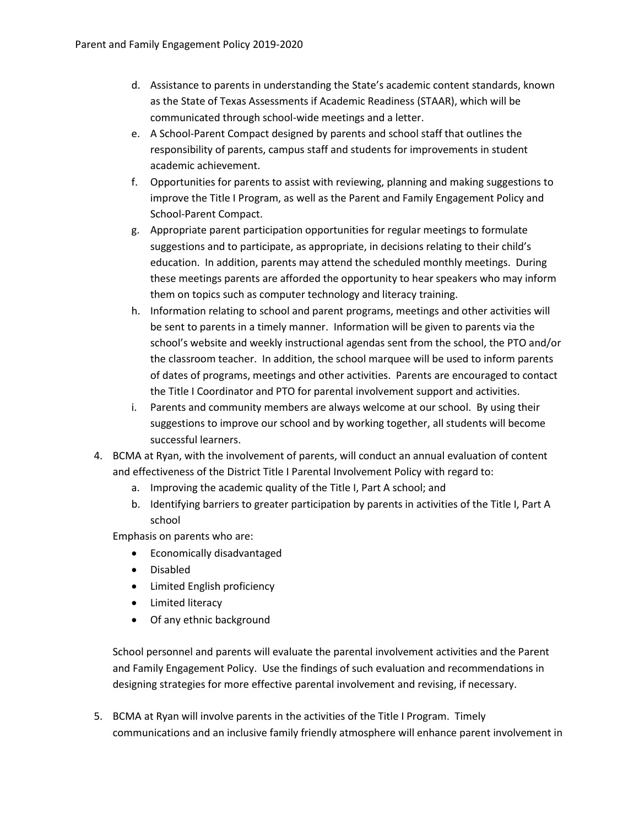- d. Assistance to parents in understanding the State's academic content standards, known as the State of Texas Assessments if Academic Readiness (STAAR), which will be communicated through school-wide meetings and a letter.
- e. A School-Parent Compact designed by parents and school staff that outlines the responsibility of parents, campus staff and students for improvements in student academic achievement.
- f. Opportunities for parents to assist with reviewing, planning and making suggestions to improve the Title I Program, as well as the Parent and Family Engagement Policy and School-Parent Compact.
- g. Appropriate parent participation opportunities for regular meetings to formulate suggestions and to participate, as appropriate, in decisions relating to their child's education. In addition, parents may attend the scheduled monthly meetings. During these meetings parents are afforded the opportunity to hear speakers who may inform them on topics such as computer technology and literacy training.
- h. Information relating to school and parent programs, meetings and other activities will be sent to parents in a timely manner. Information will be given to parents via the school's website and weekly instructional agendas sent from the school, the PTO and/or the classroom teacher. In addition, the school marquee will be used to inform parents of dates of programs, meetings and other activities. Parents are encouraged to contact the Title I Coordinator and PTO for parental involvement support and activities.
- i. Parents and community members are always welcome at our school. By using their suggestions to improve our school and by working together, all students will become successful learners.
- 4. BCMA at Ryan, with the involvement of parents, will conduct an annual evaluation of content and effectiveness of the District Title I Parental Involvement Policy with regard to:
	- a. Improving the academic quality of the Title I, Part A school; and
	- b. Identifying barriers to greater participation by parents in activities of the Title I, Part A school

Emphasis on parents who are:

- Economically disadvantaged
- Disabled
- Limited English proficiency
- Limited literacy
- Of any ethnic background

School personnel and parents will evaluate the parental involvement activities and the Parent and Family Engagement Policy. Use the findings of such evaluation and recommendations in designing strategies for more effective parental involvement and revising, if necessary.

5. BCMA at Ryan will involve parents in the activities of the Title I Program. Timely communications and an inclusive family friendly atmosphere will enhance parent involvement in